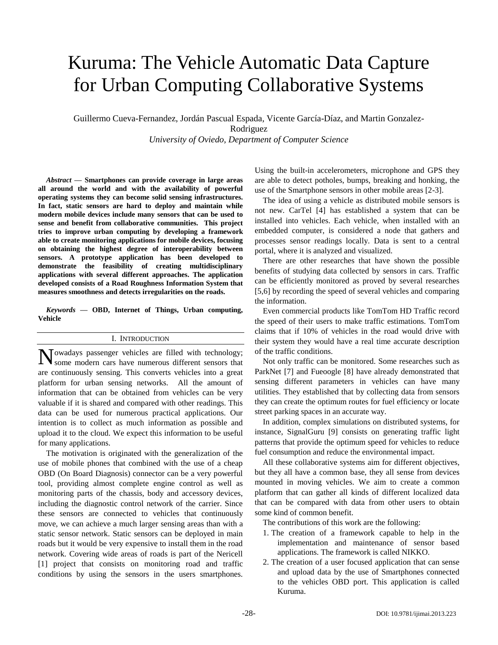# Kuruma: The Vehicle Automatic Data Capture for Urban Computing Collaborative Systems

Guillermo Cueva-Fernandez, Jordán Pascual Espada, Vicente García-Díaz, and Martin Gonzalez-

Rodriguez

*University of Oviedo, Department of Computer Science*

*Abstract* **— Smartphones can provide coverage in large areas all around the world and with the availability of powerful operating systems they can become solid sensing infrastructures. In fact, static sensors are hard to deploy and maintain while modern mobile devices include many sensors that can be used to sense and benefit from collaborative communities. This project tries to improve urban computing by developing a framework able to create monitoring applications for mobile devices, focusing on obtaining the highest degree of interoperability between sensors. A prototype application has been developed to demonstrate the feasibility of creating multidisciplinary applications with several different approaches. The application developed consists of a Road Roughness Information System that measures smoothness and detects irregularities on the roads.**

*Keywords* **— OBD, Internet of Things, Urban computing, Vehicle**

#### I. INTRODUCTION

owadays passenger vehicles are filled with technology; Nowadays passenger vehicles are filled with technology;<br>Some modern cars have numerous different sensors that are continuously sensing. This converts vehicles into a great platform for urban sensing networks. All the amount of information that can be obtained from vehicles can be very valuable if it is shared and compared with other readings. This data can be used for numerous practical applications. Our intention is to collect as much information as possible and upload it to the cloud. We expect this information to be useful for many applications.

The motivation is originated with the generalization of the use of mobile phones that combined with the use of a cheap OBD (On Board Diagnosis) connector can be a very powerful tool, providing almost complete engine control as well as monitoring parts of the chassis, body and accessory devices, including the diagnostic control network of the carrier. Since these sensors are connected to vehicles that continuously move, we can achieve a much larger sensing areas than with a static sensor network. Static sensors can be deployed in main roads but it would be very expensive to install them in the road network. Covering wide areas of roads is part of the Nericell [1] project that consists on monitoring road and traffic conditions by using the sensors in the users smartphones.

Using the built-in accelerometers, microphone and GPS they are able to detect potholes, bumps, breaking and honking, the use of the Smartphone sensors in other mobile areas [2-3].

The idea of using a vehicle as distributed mobile sensors is not new. CarTel [4] has established a system that can be installed into vehicles. Each vehicle, when installed with an embedded computer, is considered a node that gathers and processes sensor readings locally. Data is sent to a central portal, where it is analyzed and visualized.

There are other researches that have shown the possible benefits of studying data collected by sensors in cars. Traffic can be efficiently monitored as proved by several researches [5,6] by recording the speed of several vehicles and comparing the information.

Even commercial products like TomTom HD Traffic record the speed of their users to make traffic estimations. TomTom claims that if 10% of vehicles in the road would drive with their system they would have a real time accurate description of the traffic conditions.

Not only traffic can be monitored. Some researches such as ParkNet [7] and Fueoogle [8] have already demonstrated that sensing different parameters in vehicles can have many utilities. They established that by collecting data from sensors they can create the optimum routes for fuel efficiency or locate street parking spaces in an accurate way.

In addition, complex simulations on distributed systems, for instance, SignalGuru [9] consists on generating traffic light patterns that provide the optimum speed for vehicles to reduce fuel consumption and reduce the environmental impact.

All these collaborative systems aim for different objectives, but they all have a common base, they all sense from devices mounted in moving vehicles. We aim to create a common platform that can gather all kinds of different localized data that can be compared with data from other users to obtain some kind of common benefit.

The contributions of this work are the following:

- 1. The creation of a framework capable to help in the implementation and maintenance of sensor based applications. The framework is called NIKKO.
- 2. The creation of a user focused application that can sense and upload data by the use of Smartphones connected to the vehicles OBD port. This application is called Kuruma.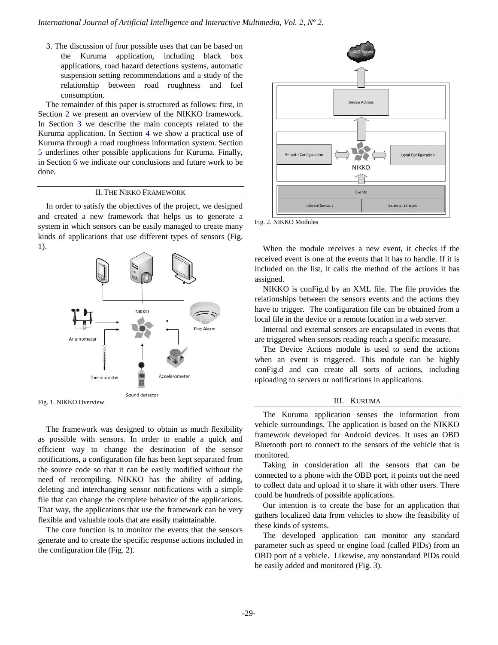3. The discussion of four possible uses that can be based on the Kuruma application, including black box applications, road hazard detections systems, automatic suspension setting recommendations and a study of the relationship between road roughness and fuel consumption.

The remainder of this paper is structured as follows: first, in Section 2 we present an overview of the NIKKO framework. In Section 3 we describe the main concepts related to the Kuruma application. In Section 4 we show a practical use of Kuruma through a road roughness information system. Section 5 underlines other possible applications for Kuruma. Finally, in Section 6 we indicate our conclusions and future work to be done.

#### II.THE NIKKO FRAMEWORK

In order to satisfy the objectives of the project, we designed and created a new framework that helps us to generate a system in which sensors can be easily managed to create many kinds of applications that use different types of sensors (Fig. 1).



Fig. 1. NIKKO Overview

The framework was designed to obtain as much flexibility as possible with sensors. In order to enable a quick and efficient way to change the destination of the sensor notifications, a configuration file has been kept separated from the source code so that it can be easily modified without the need of recompiling. NIKKO has the ability of adding, deleting and interchanging sensor notifications with a simple file that can change the complete behavior of the applications. That way, the applications that use the framework can be very flexible and valuable tools that are easily maintainable.

The core function is to monitor the events that the sensors generate and to create the specific response actions included in the configuration file (Fig. 2).



Fig. 2. NIKKO Modules

When the module receives a new event, it checks if the received event is one of the events that it has to handle. If it is included on the list, it calls the method of the actions it has assigned.

NIKKO is conFig.d by an XML file. The file provides the relationships between the sensors events and the actions they have to trigger. The configuration file can be obtained from a local file in the device or a remote location in a web server.

Internal and external sensors are encapsulated in events that are triggered when sensors reading reach a specific measure.

The Device Actions module is used to send the actions when an event is triggered. This module can be highly conFig.d and can create all sorts of actions, including uploading to servers or notifications in applications.

#### III. KURUMA

The Kuruma application senses the information from vehicle surroundings. The application is based on the NIKKO framework developed for Android devices. It uses an OBD Bluetooth port to connect to the sensors of the vehicle that is monitored.

Taking in consideration all the sensors that can be connected to a phone with the OBD port, it points out the need to collect data and upload it to share it with other users. There could be hundreds of possible applications.

Our intention is to create the base for an application that gathers localized data from vehicles to show the feasibility of these kinds of systems.

The developed application can monitor any standard parameter such as speed or engine load (called PIDs) from an OBD port of a vehicle. Likewise, any nonstandard PIDs could be easily added and monitored (Fig. 3).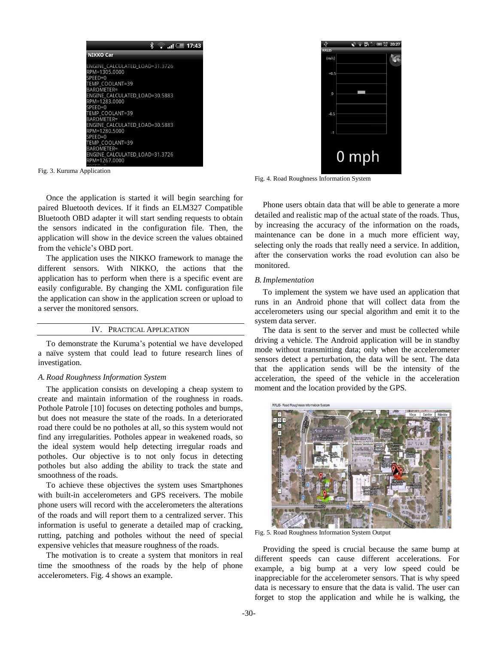

Fig. 3. Kuruma Application

Once the application is started it will begin searching for paired Bluetooth devices. If it finds an ELM327 Compatible Bluetooth OBD adapter it will start sending requests to obtain the sensors indicated in the configuration file. Then, the application will show in the device screen the values obtained from the vehicle's OBD port.

The application uses the NIKKO framework to manage the different sensors. With NIKKO, the actions that the application has to perform when there is a specific event are easily configurable. By changing the XML configuration file the application can show in the application screen or upload to a server the monitored sensors.

### IV. PRACTICAL APPLICATION

To demonstrate the Kuruma's potential we have developed a naïve system that could lead to future research lines of investigation.

#### *A. Road Roughness Information System*

The application consists on developing a cheap system to create and maintain information of the roughness in roads. Pothole Patrole [10] focuses on detecting potholes and bumps, but does not measure the state of the roads. In a deteriorated road there could be no potholes at all, so this system would not find any irregularities. Potholes appear in weakened roads, so the ideal system would help detecting irregular roads and potholes. Our objective is to not only focus in detecting potholes but also adding the ability to track the state and smoothness of the roads.

To achieve these objectives the system uses Smartphones with built-in accelerometers and GPS receivers. The mobile phone users will record with the accelerometers the alterations of the roads and will report them to a centralized server. This information is useful to generate a detailed map of cracking, rutting, patching and potholes without the need of special expensive vehicles that measure roughness of the roads.

The motivation is to create a system that monitors in real time the smoothness of the roads by the help of phone accelerometers. Fig. 4 shows an example.



Fig. 4. Road Roughness Information System

Phone users obtain data that will be able to generate a more detailed and realistic map of the actual state of the roads. Thus, by increasing the accuracy of the information on the roads, maintenance can be done in a much more efficient way, selecting only the roads that really need a service. In addition, after the conservation works the road evolution can also be monitored.

#### *B.Implementation*

To implement the system we have used an application that runs in an Android phone that will collect data from the accelerometers using our special algorithm and emit it to the system data server.

The data is sent to the server and must be collected while driving a vehicle. The Android application will be in standby mode without transmitting data; only when the accelerometer sensors detect a perturbation, the data will be sent. The data that the application sends will be the intensity of the acceleration, the speed of the vehicle in the acceleration moment and the location provided by the GPS.



Fig. 5. Road Roughness Information System Output

Providing the speed is crucial because the same bump at different speeds can cause different accelerations. For example, a big bump at a very low speed could be inappreciable for the accelerometer sensors. That is why speed data is necessary to ensure that the data is valid. The user can forget to stop the application and while he is walking, the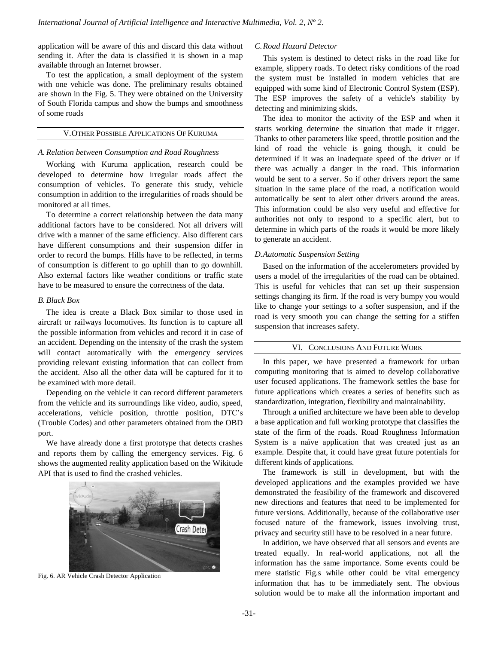application will be aware of this and discard this data without sending it. After the data is classified it is shown in a map available through an Internet browser.

To test the application, a small deployment of the system with one vehicle was done. The preliminary results obtained are shown in the Fig. 5. They were obtained on the University of South Florida campus and show the bumps and smoothness of some roads

# V.OTHER POSSIBLE APPLICATIONS OF KURUMA

#### *A. Relation between Consumption and Road Roughness*

Working with Kuruma application, research could be developed to determine how irregular roads affect the consumption of vehicles. To generate this study, vehicle consumption in addition to the irregularities of roads should be monitored at all times.

To determine a correct relationship between the data many additional factors have to be considered. Not all drivers will drive with a manner of the same efficiency. Also different cars have different consumptions and their suspension differ in order to record the bumps. Hills have to be reflected, in terms of consumption is different to go uphill than to go downhill. Also external factors like weather conditions or traffic state have to be measured to ensure the correctness of the data.

## *B. Black Box*

The idea is create a Black Box similar to those used in aircraft or railways locomotives. Its function is to capture all the possible information from vehicles and record it in case of an accident. Depending on the intensity of the crash the system will contact automatically with the emergency services providing relevant existing information that can collect from the accident. Also all the other data will be captured for it to be examined with more detail.

Depending on the vehicle it can record different parameters from the vehicle and its surroundings like video, audio, speed, accelerations, vehicle position, throttle position, DTC's (Trouble Codes) and other parameters obtained from the OBD port.

We have already done a first prototype that detects crashes and reports them by calling the emergency services. Fig. 6 shows the augmented reality application based on the Wikitude API that is used to find the crashed vehicles.



Fig. 6. AR Vehicle Crash Detector Application

## *C.Road Hazard Detector*

This system is destined to detect risks in the road like for example, slippery roads. To detect risky conditions of the road the system must be installed in modern vehicles that are equipped with some kind of Electronic Control System (ESP). The ESP improves the safety of a vehicle's stability by detecting and minimizing skids.

The idea to monitor the activity of the ESP and when it starts working determine the situation that made it trigger. Thanks to other parameters like speed, throttle position and the kind of road the vehicle is going though, it could be determined if it was an inadequate speed of the driver or if there was actually a danger in the road. This information would be sent to a server. So if other drivers report the same situation in the same place of the road, a notification would automatically be sent to alert other drivers around the areas. This information could be also very useful and effective for authorities not only to respond to a specific alert, but to determine in which parts of the roads it would be more likely to generate an accident.

#### *D.Automatic Suspension Setting*

Based on the information of the accelerometers provided by users a model of the irregularities of the road can be obtained. This is useful for vehicles that can set up their suspension settings changing its firm. If the road is very bumpy you would like to change your settings to a softer suspension, and if the road is very smooth you can change the setting for a stiffen suspension that increases safety.

#### VI. CONCLUSIONS AND FUTURE WORK

In this paper, we have presented a framework for urban computing monitoring that is aimed to develop collaborative user focused applications. The framework settles the base for future applications which creates a series of benefits such as standardization, integration, flexibility and maintainability.

Through a unified architecture we have been able to develop a base application and full working prototype that classifies the state of the firm of the roads. Road Roughness Information System is a naïve application that was created just as an example. Despite that, it could have great future potentials for different kinds of applications.

The framework is still in development, but with the developed applications and the examples provided we have demonstrated the feasibility of the framework and discovered new directions and features that need to be implemented for future versions. Additionally, because of the collaborative user focused nature of the framework, issues involving trust, privacy and security still have to be resolved in a near future.

In addition, we have observed that all sensors and events are treated equally. In real-world applications, not all the information has the same importance. Some events could be mere statistic Fig.s while other could be vital emergency information that has to be immediately sent. The obvious solution would be to make all the information important and